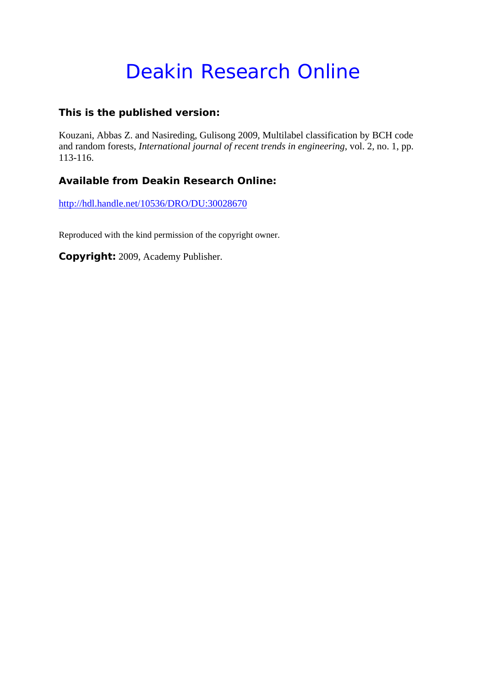# Deakin Research Online

### **This is the published version:**

Kouzani, Abbas Z. and Nasireding, Gulisong 2009, Multilabel classification by BCH code and random forests*, International journal of recent trends in engineering*, vol. 2, no. 1, pp. 113-116.

## **Available from Deakin Research Online:**

http://hdl.handle.net/10536/DRO/DU:30028670

Reproduced with the kind permission of the copyright owner.

**Copyright:** 2009, Academy Publisher.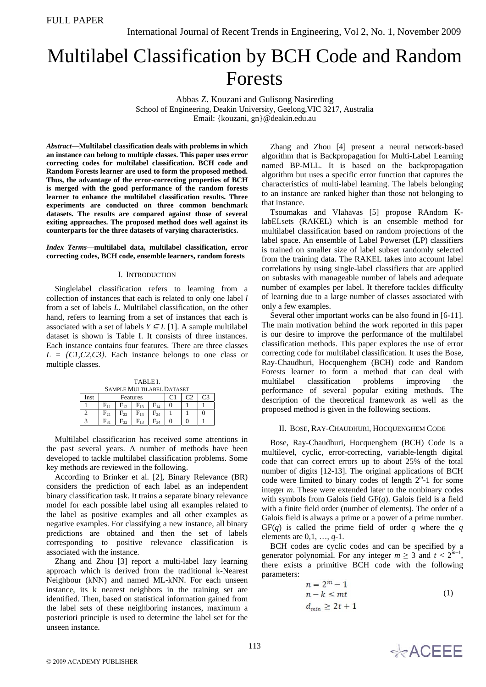## Multilabel Classification by BCH Code and Random Forests

Abbas Z. Kouzani and Gulisong Nasireding School of Engineering, Deakin University, Geelong,VIC 3217, Australia Email: {kouzani, gn}@deakin.edu.au

*Abstract***—Multilabel classification deals with problems in which an instance can belong to multiple classes. This paper uses error correcting codes for multilabel classification. BCH code and Random Forests learner are used to form the proposed method. Thus, the advantage of the error-correcting properties of BCH is merged with the good performance of the random forests learner to enhance the multilabel classification results. Three experiments are conducted on three common benchmark datasets. The results are compared against those of several exiting approaches. The proposed method does well against its counterparts for the three datasets of varying characteristics.** 

*Index Terms***—multilabel data, multilabel classification, error correcting codes, BCH code, ensemble learners, random forests** 

#### I. INTRODUCTION

Singlelabel classification refers to learning from a collection of instances that each is related to only one label *l*  from a set of labels *L*. Multilabel classification, on the other hand, refers to learning from a set of instances that each is associated with a set of labels  $Y \subseteq L$  [1]. A sample multilabel dataset is shown is Table I. It consists of three instances. Each instance contains four features. There are three classes  $L = \{C1, C2, C3\}$ . Each instance belongs to one class or multiple classes.

| TABLE I.                         |                   |                   |                   |                   |  |                |  |
|----------------------------------|-------------------|-------------------|-------------------|-------------------|--|----------------|--|
| <b>SAMPLE MULTILABEL DATASET</b> |                   |                   |                   |                   |  |                |  |
| Inst                             | Features          |                   |                   |                   |  | C <sub>3</sub> |  |
|                                  | ${\rm F}_{11}$    | $F_{12}$          | $F_{13}$          | $\mathrm{F_{14}}$ |  |                |  |
|                                  | ۲21               | ${\rm F}_{22}$    | $\mathrm{F}_{13}$ | $\rm{F}_{24}$     |  |                |  |
|                                  | $\mathbf{F}_{31}$ | $\mathrm{F}_{32}$ | $\rm F_{13}$      | $\mathbf{F}_{34}$ |  |                |  |

Multilabel classification has received some attentions in the past several years. A number of methods have been developed to tackle multilabel classification problems. Some key methods are reviewed in the following.

According to Brinker et al. [2], Binary Relevance (BR) considers the prediction of each label as an independent binary classification task. It trains a separate binary relevance model for each possible label using all examples related to the label as positive examples and all other examples as negative examples. For classifying a new instance, all binary predictions are obtained and then the set of labels corresponding to positive relevance classification is associated with the instance.

Zhang and Zhou [3] report a multi-label lazy learning approach which is derived from the traditional k-Nearest Neighbour (kNN) and named ML-kNN. For each unseen instance, its k nearest neighbors in the training set are identified. Then, based on statistical information gained from the label sets of these neighboring instances, maximum a posteriori principle is used to determine the label set for the unseen instance.

Zhang and Zhou [4] present a neural network-based algorithm that is Backpropagation for Multi-Label Learning named BP-MLL. It is based on the backpropagation algorithm but uses a specific error function that captures the characteristics of multi-label learning. The labels belonging to an instance are ranked higher than those not belonging to that instance.

Tsoumakas and Vlahavas [5] propose RAndom KlabELsets (RAKEL) which is an ensemble method for multilabel classification based on random projections of the label space. An ensemble of Label Powerset (LP) classifiers is trained on smaller size of label subset randomly selected from the training data. The RAKEL takes into account label correlations by using single-label classifiers that are applied on subtasks with manageable number of labels and adequate number of examples per label. It therefore tackles difficulty of learning due to a large number of classes associated with only a few examples.

Several other important works can be also found in [6-11]. The main motivation behind the work reported in this paper is our desire to improve the performance of the multilabel classification methods. This paper explores the use of error correcting code for multilabel classification. It uses the Bose, Ray-Chaudhuri, Hocquenghem (BCH) code and Random Forests learner to form a method that can deal with multilabel classification problems improving the performance of several popular exiting methods. The description of the theoretical framework as well as the proposed method is given in the following sections.

#### II. BOSE, RAY-CHAUDHURI, HOCQUENGHEM CODE

Bose, Ray-Chaudhuri, Hocquenghem (BCH) Code is a multilevel, cyclic, error-correcting, variable-length digital code that can correct errors up to about 25% of the total number of digits [12-13]. The original applications of BCH code were limited to binary codes of length 2*<sup>m</sup>*-1 for some integer *m*. These were extended later to the nonbinary codes with symbols from Galois field GF(*q*). Galois field is a field with a finite field order (number of elements). The order of a Galois field is always a prime or a power of a prime number. GF(*q*) is called the prime field of order *q* where the *q* elements are 0,1, …, *q*-1.

BCH codes are cyclic codes and can be specified by a generator polynomial. For any integer  $m \geq 3$  and  $t < 2^{m-1}$ , there exists a primitive BCH code with the following parameters:

$$
n = 2m - 1
$$
  
\n
$$
n - k \le mt
$$
  
\n
$$
d_{min} \ge 2t + 1
$$
\n(1)

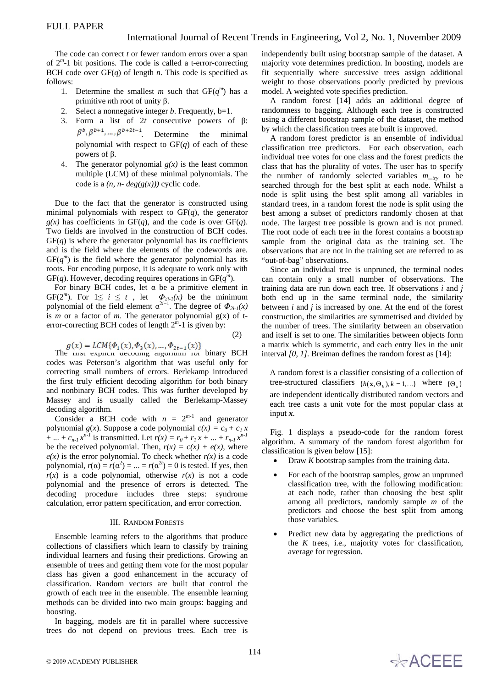The code can correct *t* or fewer random errors over a span of 2*m-*1 bit positions. The code is called a t-error-correcting BCH code over GF(*q*) of length *n*. This code is specified as follows:

- 1. Determine the smallest *m* such that  $GF(q^m)$  has a primitive *n*th root of unity β.
- 2. Select a nonnegative integer  $b$ . Frequently,  $b=1$ .
- 3. Form a list of 2*t* consecutive powers of β:  $\beta^b, \beta^{b+1}, \dots, \beta^{b+2t-1}$ . Determine the minimal polynomial with respect to  $GF(q)$  of each of these powers of β.
- 4. The generator polynomial  $g(x)$  is the least common multiple (LCM) of these minimal polynomials. The code is a  $(n, n$ -  $deg(g(x))$ ) cyclic code.

Due to the fact that the generator is constructed using minimal polynomials with respect to  $GF(q)$ , the generator  $g(x)$  has coefficients in GF(*q*), and the code is over GF(*q*). Two fields are involved in the construction of BCH codes.  $GF(q)$  is where the generator polynomial has its coefficients and is the field where the elements of the codewords are.  $GF(q^m)$  is the field where the generator polynomial has its roots. For encoding purpose, it is adequate to work only with GF(*q*). However, decoding requires operations in GF(*q<sup>m</sup>*).

For binary BCH codes, let  $\alpha$  be a primitive element in GF(2<sup>m</sup>). For  $1 \le i \le t$ , let  $\Phi_{2i-1}(x)$  be the minimum polynomial of the field element  $\alpha^{2i-1}$ . The degree of  $\Phi_{2i-1}(x)$ is *m* or a factor of *m*. The generator polynomial  $g(x)$  of terror-correcting BCH codes of length 2*<sup>m</sup>*-1 is given by:

(2)

$$
g(x) = LCM{\phi_1(x), \phi_2(x), ..., \phi_{2t-1}(x)}
$$

The first explicit decoding algorithm for binary BCH codes was Peterson's algorithm that was useful only for correcting small numbers of errors. Berlekamp introduced the first truly efficient decoding algorithm for both binary and nonbinary BCH codes. This was further developed by Massey and is usually called the Berlekamp-Massey decoding algorithm.

Consider a BCH code with  $n = 2^{m-1}$  and generator polynomial  $g(x)$ . Suppose a code polynomial  $c(x) = c_0 + c_1 x$  $+ ... + c_{n-1} x^{n-1}$  is transmitted. Let  $r(x) = r_0 + r_1 x + ... + r_{n-1} x^{n-1}$ be the received polynomial. Then,  $r(x) = c(x) + e(x)$ , where  $e(x)$  is the error polynomial. To check whether  $r(x)$  is a code polynomial,  $r(\alpha) = r(\alpha^2) = ... = r(\alpha^{2t}) = 0$  is tested. If yes, then  $r(x)$  is a code polynomial, otherwise  $r(x)$  is not a code polynomial and the presence of errors is detected. The decoding procedure includes three steps: syndrome calculation, error pattern specification, and error correction.

#### III. RANDOM FORESTS

Ensemble learning refers to the algorithms that produce collections of classifiers which learn to classify by training individual learners and fusing their predictions. Growing an ensemble of trees and getting them vote for the most popular class has given a good enhancement in the accuracy of classification. Random vectors are built that control the growth of each tree in the ensemble. The ensemble learning methods can be divided into two main groups: bagging and boosting.

In bagging, models are fit in parallel where successive trees do not depend on previous trees. Each tree is independently built using bootstrap sample of the dataset. A majority vote determines prediction. In boosting, models are fit sequentially where successive trees assign additional weight to those observations poorly predicted by previous model. A weighted vote specifies prediction.

A random forest [14] adds an additional degree of randomness to bagging. Although each tree is constructed using a different bootstrap sample of the dataset, the method by which the classification trees ate built is improved.

A random forest predictor is an ensemble of individual classification tree predictors. For each observation, each individual tree votes for one class and the forest predicts the class that has the plurality of votes. The user has to specify the number of randomly selected variables  $m_{trv}$  to be searched through for the best split at each node. Whilst a node is split using the best split among all variables in standard trees, in a random forest the node is split using the best among a subset of predictors randomly chosen at that node. The largest tree possible is grown and is not pruned. The root node of each tree in the forest contains a bootstrap sample from the original data as the training set. The observations that are not in the training set are referred to as "out-of-bag" observations.

Since an individual tree is unpruned, the terminal nodes can contain only a small number of observations. The training data are run down each tree. If observations *i* and *j* both end up in the same terminal node, the similarity between *i* and *j* is increased by one. At the end of the forest construction, the similarities are symmetrised and divided by the number of trees. The similarity between an observation and itself is set to one. The similarities between objects form a matrix which is symmetric, and each entry lies in the unit interval *[0, 1].* Breiman defines the random forest as [14]:

A random forest is a classifier consisting of a collection of tree-structured classifiers  ${h(\mathbf{x}, \Theta_k), k = 1,...}$  where  ${\Theta_k}$ are independent identically distributed random vectors and each tree casts a unit vote for the most popular class at input *x*.

Fig. 1 displays a pseudo-code for the random forest algorithm. A summary of the random forest algorithm for classification is given below [15]:

- Draw *K* bootstrap samples from the training data.
- For each of the bootstrap samples, grow an unpruned classification tree, with the following modification: at each node, rather than choosing the best split among all predictors, randomly sample *m* of the predictors and choose the best split from among those variables.
- Predict new data by aggregating the predictions of the *K* trees, i.e., majority votes for classification, average for regression.

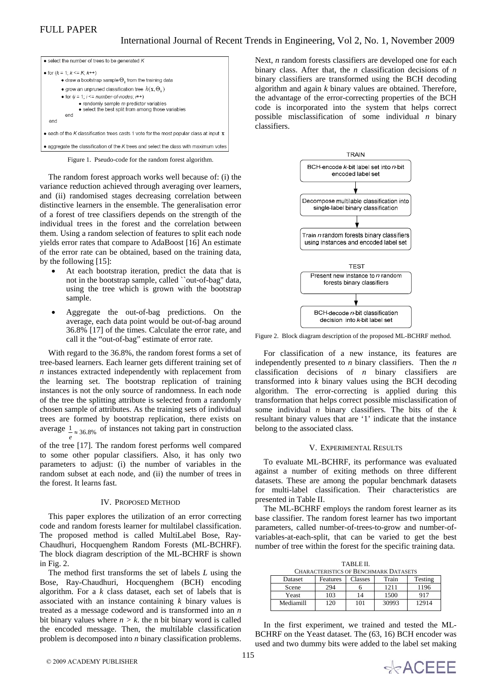#### FULL PAPER



Figure 1. Pseudo-code for the random forest algorithm.

The random forest approach works well because of: (i) the variance reduction achieved through averaging over learners, and (ii) randomised stages decreasing correlation between distinctive learners in the ensemble. The generalisation error of a forest of tree classifiers depends on the strength of the individual trees in the forest and the correlation between them. Using a random selection of features to split each node yields error rates that compare to AdaBoost [16] An estimate of the error rate can be obtained, based on the training data, by the following [15]:

- At each bootstrap iteration, predict the data that is not in the bootstrap sample, called ``out-of-bag'' data, using the tree which is grown with the bootstrap sample.
- Aggregate the out-of-bag predictions. On the average, each data point would be out-of-bag around 36.8% [17] of the times. Calculate the error rate, and call it the "out-of-bag" estimate of error rate.

With regard to the 36.8%, the random forest forms a set of tree-based learners. Each learner gets different training set of *n* instances extracted independently with replacement from the learning set. The bootstrap replication of training instances is not the only source of randomness. In each node of the tree the splitting attribute is selected from a randomly chosen sample of attributes. As the training sets of individual trees are formed by bootstrap replication, there exists on average  $\frac{1}{e} \approx 36.8\%$  of instances not taking part in construction

of the tree [17]. The random forest performs well compared to some other popular classifiers. Also, it has only two parameters to adjust: (i) the number of variables in the random subset at each node, and (ii) the number of trees in the forest. It learns fast.

#### IV. PROPOSED METHOD

This paper explores the utilization of an error correcting code and random forests learner for multilabel classification. The proposed method is called MultiLabel Bose, Ray-Chaudhuri, Hocquenghem Random Forests (ML-BCHRF). The block diagram description of the ML-BCHRF is shown in Fig. 2.

The method first transforms the set of labels *L* using the Bose, Ray-Chaudhuri, Hocquenghem (BCH) encoding algorithm. For a *k* class dataset, each set of labels that is associated with an instance containing *k* binary values is treated as a message codeword and is transformed into an *n* bit binary values where  $n > k$ , the n bit binary word is called the encoded message. Then, the multilable classification problem is decomposed into *n* binary classification problems. Next, *n* random forests classifiers are developed one for each binary class. After that, the *n* classification decisions of *n* binary classifiers are transformed using the BCH decoding algorithm and again *k* binary values are obtained. Therefore, the advantage of the error-correcting properties of the BCH code is incorporated into the system that helps correct possible misclassification of some individual *n* binary classifiers.



Figure 2. Block diagram description of the proposed ML-BCHRF method.

For classification of a new instance, its features are independently presented to *n* binary classifiers. Then the *n* classification decisions of *n* binary classifiers are transformed into *k* binary values using the BCH decoding algorithm. The error-correcting is applied during this transformation that helps correct possible misclassification of some individual *n* binary classifiers. The bits of the *k* resultant binary values that are '1' indicate that the instance belong to the associated class.

#### V. EXPERIMENTAL RESULTS

To evaluate ML-BCHRF, its performance was evaluated against a number of exiting methods on three different datasets. These are among the popular benchmark datasets for multi-label classification. Their characteristics are presented in Table II.

The ML-BCHRF employs the random forest learner as its base classifier. The random forest learner has two important parameters, called number-of-trees-to-grow and number-ofvariables-at-each-split, that can be varied to get the best number of tree within the forest for the specific training data.

TABLE II.

| <b>CHARACTERISTICS OF BENCHMARK DATASETS</b> |          |         |       |         |  |
|----------------------------------------------|----------|---------|-------|---------|--|
| Dataset                                      | Features | Classes | Train | Testing |  |
| Scene                                        | 294      |         | 12.11 | 1196    |  |
| Yeast                                        | 103      | 14      | 1500  | 917     |  |
| Mediamill                                    | 120      | 101     | 30993 | 12914   |  |

In the first experiment, we trained and tested the ML-BCHRF on the Yeast dataset. The (63, 16) BCH encoder was used and two dummy bits were added to the label set making